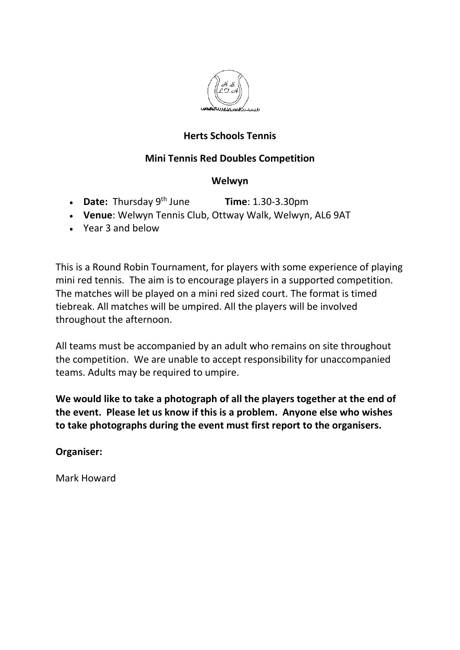

### **Herts Schools Tennis**

#### **Mini Tennis Red Doubles Competition**

#### **Welwyn**

- **Date:** Thursday 9 **Time**: 1.30-3.30pm
- **Venue**: Welwyn Tennis Club, Ottway Walk, Welwyn, AL6 9AT
- Year 3 and below

This is a Round Robin Tournament, for players with some experience of playing mini red tennis. The aim is to encourage players in a supported competition. The matches will be played on a mini red sized court. The format is timed tiebreak. All matches will be umpired. All the players will be involved throughout the afternoon.

All teams must be accompanied by an adult who remains on site throughout the competition. We are unable to accept responsibility for unaccompanied teams. Adults may be required to umpire.

**We would like to take a photograph of all the players together at the end of the event. Please let us know if this is a problem. Anyone else who wishes to take photographs during the event must first report to the organisers.**

**Organiser:**

Mark Howard